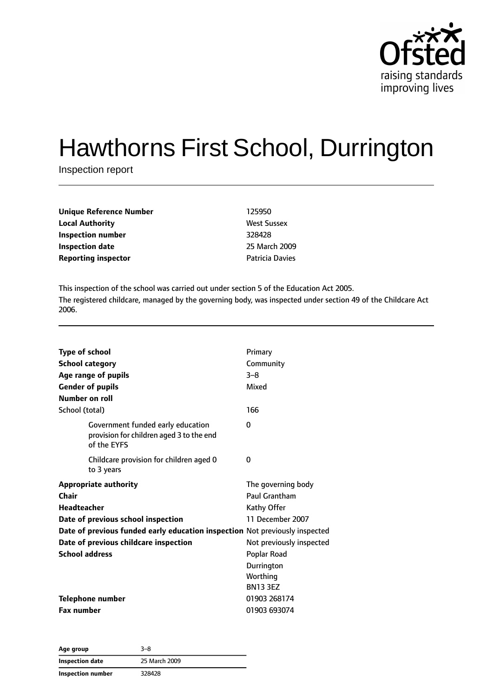

# Hawthorns First School, Durrington

Inspection report

| 125950                 |
|------------------------|
| <b>West Sussex</b>     |
| 328428                 |
| 25 March 2009          |
| <b>Patricia Davies</b> |
|                        |

This inspection of the school was carried out under section 5 of the Education Act 2005. The registered childcare, managed by the governing body, was inspected under section 49 of the Childcare Act 2006.

| <b>Type of school</b><br><b>School category</b><br>Age range of pupils<br><b>Gender of pupils</b><br>Number on roll | Primary<br>Community<br>$3 - 8$<br>Mixed<br>166 |
|---------------------------------------------------------------------------------------------------------------------|-------------------------------------------------|
| School (total)                                                                                                      |                                                 |
| Government funded early education<br>provision for children aged 3 to the end<br>of the EYFS                        | 0                                               |
| Childcare provision for children aged 0<br>to 3 years                                                               | 0                                               |
| <b>Appropriate authority</b>                                                                                        | The governing body                              |
| Chair                                                                                                               | Paul Grantham                                   |
| Headteacher                                                                                                         | Kathy Offer                                     |
| Date of previous school inspection                                                                                  | 11 December 2007                                |
| Date of previous funded early education inspection Not previously inspected                                         |                                                 |
| Date of previous childcare inspection                                                                               | Not previously inspected                        |
| <b>School address</b>                                                                                               | Poplar Road                                     |
|                                                                                                                     | Durrington                                      |
|                                                                                                                     | Worthing                                        |
|                                                                                                                     | <b>BN13 3EZ</b>                                 |
| Telephone number                                                                                                    | 01903 268174                                    |
| <b>Fax number</b>                                                                                                   | 01903 693074                                    |

**Age group** 3–8 **Inspection date** 25 March 2009 **Inspection number** 328428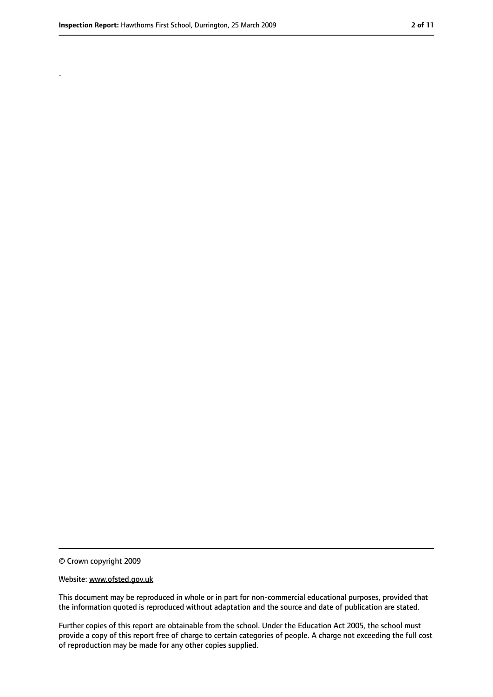.

<sup>©</sup> Crown copyright 2009

Website: www.ofsted.gov.uk

This document may be reproduced in whole or in part for non-commercial educational purposes, provided that the information quoted is reproduced without adaptation and the source and date of publication are stated.

Further copies of this report are obtainable from the school. Under the Education Act 2005, the school must provide a copy of this report free of charge to certain categories of people. A charge not exceeding the full cost of reproduction may be made for any other copies supplied.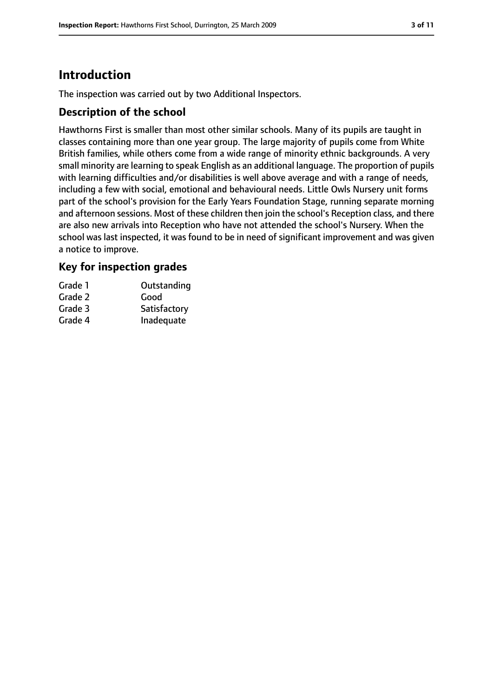# **Introduction**

The inspection was carried out by two Additional Inspectors.

## **Description of the school**

Hawthorns First is smaller than most other similar schools. Many of its pupils are taught in classes containing more than one year group. The large majority of pupils come from White British families, while others come from a wide range of minority ethnic backgrounds. A very small minority are learning to speak English as an additional language. The proportion of pupils with learning difficulties and/or disabilities is well above average and with a range of needs, including a few with social, emotional and behavioural needs. Little Owls Nursery unit forms part of the school's provision for the Early Years Foundation Stage, running separate morning and afternoon sessions. Most of these children then join the school's Reception class, and there are also new arrivals into Reception who have not attended the school's Nursery. When the school was last inspected, it was found to be in need of significant improvement and was given a notice to improve.

## **Key for inspection grades**

| Grade 1 | Outstanding  |
|---------|--------------|
| Grade 2 | Good         |
| Grade 3 | Satisfactory |
| Grade 4 | Inadequate   |
|         |              |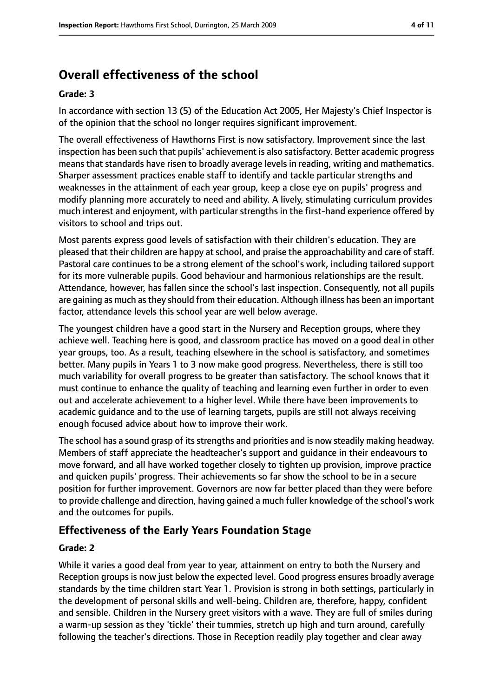# **Overall effectiveness of the school**

#### **Grade: 3**

In accordance with section 13 (5) of the Education Act 2005, Her Majesty's Chief Inspector is of the opinion that the school no longer requires significant improvement.

The overall effectiveness of Hawthorns First is now satisfactory. Improvement since the last inspection has been such that pupils' achievement is also satisfactory. Better academic progress means that standards have risen to broadly average levels in reading, writing and mathematics. Sharper assessment practices enable staff to identify and tackle particular strengths and weaknesses in the attainment of each year group, keep a close eye on pupils' progress and modify planning more accurately to need and ability. A lively, stimulating curriculum provides much interest and enjoyment, with particular strengths in the first-hand experience offered by visitors to school and trips out.

Most parents express good levels of satisfaction with their children's education. They are pleased that their children are happy at school, and praise the approachability and care of staff. Pastoral care continues to be a strong element of the school's work, including tailored support for its more vulnerable pupils. Good behaviour and harmonious relationships are the result. Attendance, however, has fallen since the school's last inspection. Consequently, not all pupils are gaining as much as they should from their education. Although illness has been an important factor, attendance levels this school year are well below average.

The youngest children have a good start in the Nursery and Reception groups, where they achieve well. Teaching here is good, and classroom practice has moved on a good deal in other year groups, too. As a result, teaching elsewhere in the school is satisfactory, and sometimes better. Many pupils in Years 1 to 3 now make good progress. Nevertheless, there is still too much variability for overall progress to be greater than satisfactory. The school knows that it must continue to enhance the quality of teaching and learning even further in order to even out and accelerate achievement to a higher level. While there have been improvements to academic guidance and to the use of learning targets, pupils are still not always receiving enough focused advice about how to improve their work.

The school has a sound grasp of its strengths and priorities and is now steadily making headway. Members of staff appreciate the headteacher's support and guidance in their endeavours to move forward, and all have worked together closely to tighten up provision, improve practice and quicken pupils' progress. Their achievements so far show the school to be in a secure position for further improvement. Governors are now far better placed than they were before to provide challenge and direction, having gained a much fuller knowledge of the school's work and the outcomes for pupils.

## **Effectiveness of the Early Years Foundation Stage**

#### **Grade: 2**

While it varies a good deal from year to year, attainment on entry to both the Nursery and Reception groups is now just below the expected level. Good progress ensures broadly average standards by the time children start Year 1. Provision is strong in both settings, particularly in the development of personal skills and well-being. Children are, therefore, happy, confident and sensible. Children in the Nursery greet visitors with a wave. They are full of smiles during a warm-up session as they 'tickle' their tummies, stretch up high and turn around, carefully following the teacher's directions. Those in Reception readily play together and clear away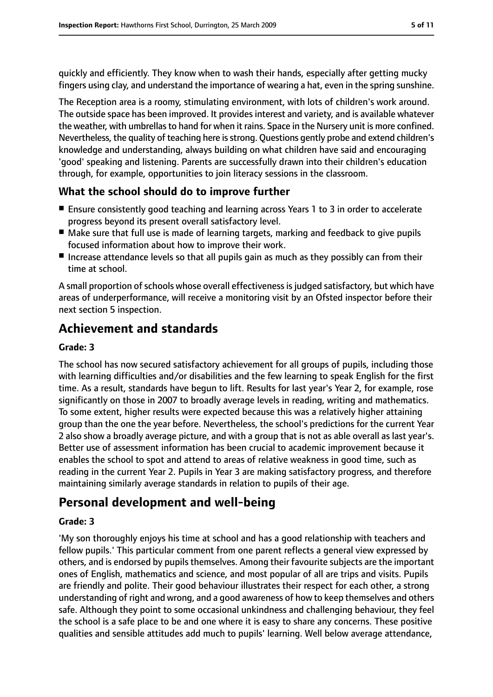quickly and efficiently. They know when to wash their hands, especially after getting mucky fingers using clay, and understand the importance of wearing a hat, even in the spring sunshine.

The Reception area is a roomy, stimulating environment, with lots of children's work around. The outside space has been improved. It provides interest and variety, and is available whatever the weather, with umbrellas to hand for when it rains. Space in the Nursery unit is more confined. Nevertheless, the quality of teaching here isstrong. Questions gently probe and extend children's knowledge and understanding, always building on what children have said and encouraging 'good' speaking and listening. Parents are successfully drawn into their children's education through, for example, opportunities to join literacy sessions in the classroom.

## **What the school should do to improve further**

- Ensure consistently good teaching and learning across Years 1 to 3 in order to accelerate progress beyond its present overall satisfactory level.
- Make sure that full use is made of learning targets, marking and feedback to give pupils focused information about how to improve their work.
- Increase attendance levels so that all pupils gain as much as they possibly can from their time at school.

A small proportion of schools whose overall effectiveness is judged satisfactory, but which have areas of underperformance, will receive a monitoring visit by an Ofsted inspector before their next section 5 inspection.

# **Achievement and standards**

#### **Grade: 3**

The school has now secured satisfactory achievement for all groups of pupils, including those with learning difficulties and/or disabilities and the few learning to speak English for the first time. As a result, standards have begun to lift. Results for last year's Year 2, for example, rose significantly on those in 2007 to broadly average levels in reading, writing and mathematics. To some extent, higher results were expected because this was a relatively higher attaining group than the one the year before. Nevertheless, the school's predictions for the current Year 2 also show a broadly average picture, and with a group that is not as able overall as last year's. Better use of assessment information has been crucial to academic improvement because it enables the school to spot and attend to areas of relative weakness in good time, such as reading in the current Year 2. Pupils in Year 3 are making satisfactory progress, and therefore maintaining similarly average standards in relation to pupils of their age.

# **Personal development and well-being**

#### **Grade: 3**

'My son thoroughly enjoys his time at school and has a good relationship with teachers and fellow pupils.' This particular comment from one parent reflects a general view expressed by others, and is endorsed by pupils themselves. Among their favourite subjects are the important ones of English, mathematics and science, and most popular of all are trips and visits. Pupils are friendly and polite. Their good behaviour illustrates their respect for each other, a strong understanding of right and wrong, and a good awareness of how to keep themselves and others safe. Although they point to some occasional unkindness and challenging behaviour, they feel the school is a safe place to be and one where it is easy to share any concerns. These positive qualities and sensible attitudes add much to pupils' learning. Well below average attendance,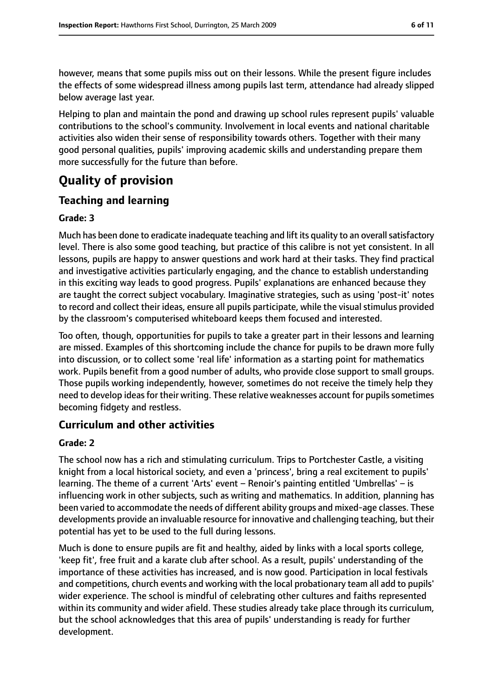however, means that some pupils miss out on their lessons. While the present figure includes the effects of some widespread illness among pupils last term, attendance had already slipped below average last year.

Helping to plan and maintain the pond and drawing up school rules represent pupils' valuable contributions to the school's community. Involvement in local events and national charitable activities also widen their sense of responsibility towards others. Together with their many good personal qualities, pupils' improving academic skills and understanding prepare them more successfully for the future than before.

# **Quality of provision**

# **Teaching and learning**

#### **Grade: 3**

Much has been done to eradicate inadequate teaching and lift its quality to an overall satisfactory level. There is also some good teaching, but practice of this calibre is not yet consistent. In all lessons, pupils are happy to answer questions and work hard at their tasks. They find practical and investigative activities particularly engaging, and the chance to establish understanding in this exciting way leads to good progress. Pupils' explanations are enhanced because they are taught the correct subject vocabulary. Imaginative strategies, such as using 'post-it' notes to record and collect their ideas, ensure all pupils participate, while the visual stimulus provided by the classroom's computerised whiteboard keeps them focused and interested.

Too often, though, opportunities for pupils to take a greater part in their lessons and learning are missed. Examples of this shortcoming include the chance for pupils to be drawn more fully into discussion, or to collect some 'real life' information as a starting point for mathematics work. Pupils benefit from a good number of adults, who provide close support to small groups. Those pupils working independently, however, sometimes do not receive the timely help they need to develop ideas for their writing. These relative weaknesses account for pupils sometimes becoming fidgety and restless.

## **Curriculum and other activities**

#### **Grade: 2**

The school now has a rich and stimulating curriculum. Trips to Portchester Castle, a visiting knight from a local historical society, and even a 'princess', bring a real excitement to pupils' learning. The theme of a current 'Arts' event – Renoir's painting entitled 'Umbrellas' – is influencing work in other subjects, such as writing and mathematics. In addition, planning has been varied to accommodate the needs of different ability groups and mixed-age classes. These developments provide an invaluable resource for innovative and challenging teaching, but their potential has yet to be used to the full during lessons.

Much is done to ensure pupils are fit and healthy, aided by links with a local sports college, 'keep fit', free fruit and a karate club after school. As a result, pupils' understanding of the importance of these activities has increased, and is now good. Participation in local festivals and competitions, church events and working with the local probationary team all add to pupils' wider experience. The school is mindful of celebrating other cultures and faiths represented within its community and wider afield. These studies already take place through its curriculum, but the school acknowledges that this area of pupils' understanding is ready for further development.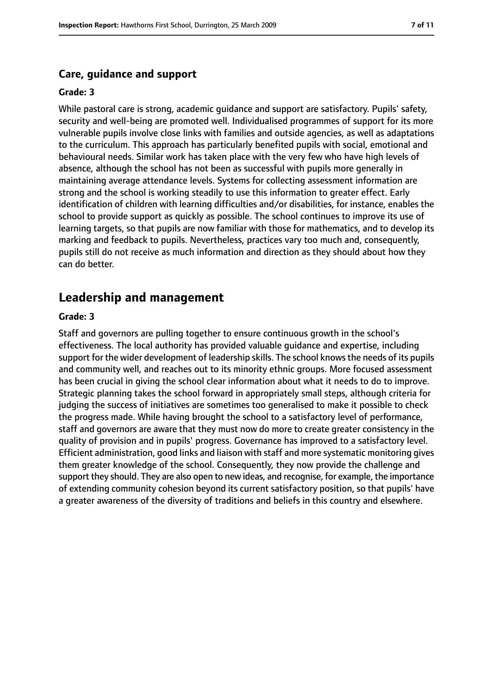#### **Care, guidance and support**

#### **Grade: 3**

While pastoral care is strong, academic guidance and support are satisfactory. Pupils' safety, security and well-being are promoted well. Individualised programmes of support for its more vulnerable pupils involve close links with families and outside agencies, as well as adaptations to the curriculum. This approach has particularly benefited pupils with social, emotional and behavioural needs. Similar work has taken place with the very few who have high levels of absence, although the school has not been as successful with pupils more generally in maintaining average attendance levels. Systems for collecting assessment information are strong and the school is working steadily to use this information to greater effect. Early identification of children with learning difficulties and/or disabilities, for instance, enables the school to provide support as quickly as possible. The school continues to improve its use of learning targets, so that pupils are now familiar with those for mathematics, and to develop its marking and feedback to pupils. Nevertheless, practices vary too much and, consequently, pupils still do not receive as much information and direction as they should about how they can do better.

#### **Leadership and management**

#### **Grade: 3**

Staff and governors are pulling together to ensure continuous growth in the school's effectiveness. The local authority has provided valuable guidance and expertise, including support for the wider development of leadership skills. The school knowsthe needs of its pupils and community well, and reaches out to its minority ethnic groups. More focused assessment has been crucial in giving the school clear information about what it needs to do to improve. Strategic planning takes the school forward in appropriately small steps, although criteria for judging the success of initiatives are sometimes too generalised to make it possible to check the progress made. While having brought the school to a satisfactory level of performance, staff and governors are aware that they must now do more to create greater consistency in the quality of provision and in pupils' progress. Governance has improved to a satisfactory level. Efficient administration, good links and liaison with staff and more systematic monitoring gives them greater knowledge of the school. Consequently, they now provide the challenge and support they should. They are also open to new ideas, and recognise, for example, the importance of extending community cohesion beyond its current satisfactory position, so that pupils' have a greater awareness of the diversity of traditions and beliefs in this country and elsewhere.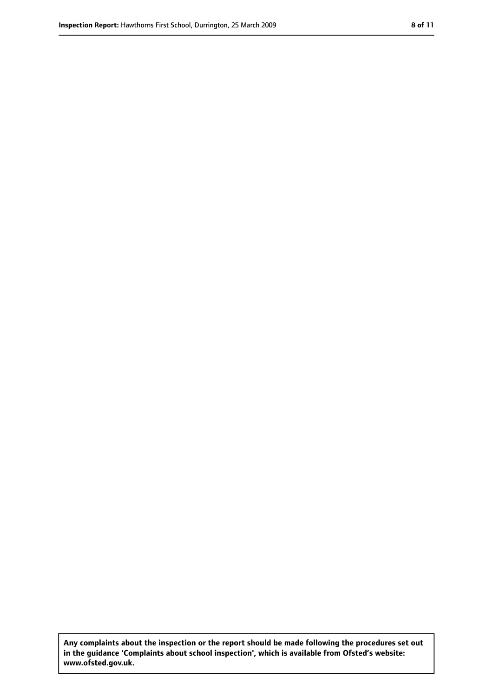**Any complaints about the inspection or the report should be made following the procedures set out in the guidance 'Complaints about school inspection', which is available from Ofsted's website: www.ofsted.gov.uk.**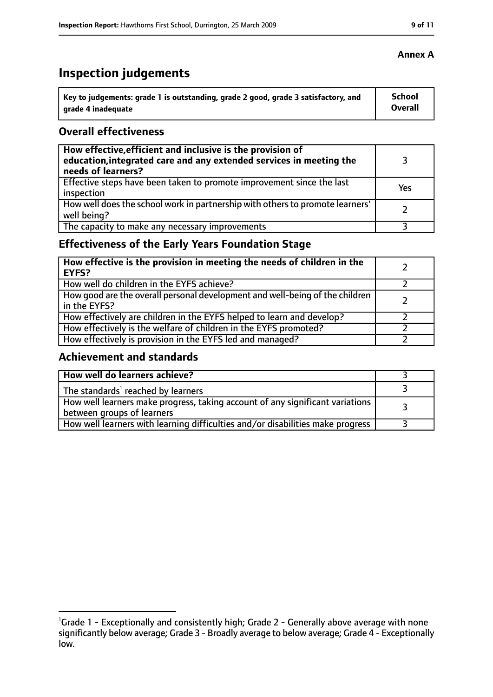# **Inspection judgements**

| Key to judgements: grade 1 is outstanding, grade 2 good, grade 3 satisfactory, and | School  |
|------------------------------------------------------------------------------------|---------|
| arade 4 inadequate                                                                 | Overall |

## **Overall effectiveness**

| How effective, efficient and inclusive is the provision of<br>education, integrated care and any extended services in meeting the<br>needs of learners? |     |
|---------------------------------------------------------------------------------------------------------------------------------------------------------|-----|
| Effective steps have been taken to promote improvement since the last<br>inspection                                                                     | Yes |
| How well does the school work in partnership with others to promote learners'<br>well being?                                                            |     |
| The capacity to make any necessary improvements                                                                                                         |     |

# **Effectiveness of the Early Years Foundation Stage**

| How effective is the provision in meeting the needs of children in the<br>l EYFS?              |  |
|------------------------------------------------------------------------------------------------|--|
| How well do children in the EYFS achieve?                                                      |  |
| How good are the overall personal development and well-being of the children<br>I in the EYFS? |  |
| How effectively are children in the EYFS helped to learn and develop?                          |  |
| How effectively is the welfare of children in the EYFS promoted?                               |  |
| How effectively is provision in the EYFS led and managed?                                      |  |

## **Achievement and standards**

| How well do learners achieve?                                                                               |  |
|-------------------------------------------------------------------------------------------------------------|--|
| The standards <sup>1</sup> reached by learners                                                              |  |
| How well learners make progress, taking account of any significant variations<br>between groups of learners |  |
| How well learners with learning difficulties and/or disabilities make progress                              |  |

# **Annex A**

<sup>&</sup>lt;sup>1</sup>Grade 1 - Exceptionally and consistently high; Grade 2 - Generally above average with none significantly below average; Grade 3 - Broadly average to below average; Grade 4 - Exceptionally low.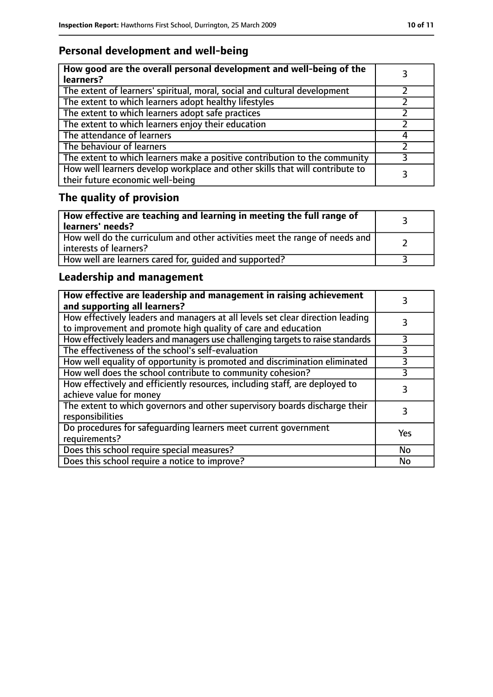# **Personal development and well-being**

| How good are the overall personal development and well-being of the<br>learners?                                 |  |
|------------------------------------------------------------------------------------------------------------------|--|
| The extent of learners' spiritual, moral, social and cultural development                                        |  |
| The extent to which learners adopt healthy lifestyles                                                            |  |
| The extent to which learners adopt safe practices                                                                |  |
| The extent to which learners enjoy their education                                                               |  |
| The attendance of learners                                                                                       |  |
| The behaviour of learners                                                                                        |  |
| The extent to which learners make a positive contribution to the community                                       |  |
| How well learners develop workplace and other skills that will contribute to<br>their future economic well-being |  |

# **The quality of provision**

| How effective are teaching and learning in meeting the full range of<br>learners' needs?                |  |
|---------------------------------------------------------------------------------------------------------|--|
| How well do the curriculum and other activities meet the range of needs and<br>  interests of learners? |  |
| How well are learners cared for, quided and supported?                                                  |  |

# **Leadership and management**

| How effective are leadership and management in raising achievement<br>and supporting all learners?                                              |     |
|-------------------------------------------------------------------------------------------------------------------------------------------------|-----|
| How effectively leaders and managers at all levels set clear direction leading<br>to improvement and promote high quality of care and education |     |
| How effectively leaders and managers use challenging targets to raise standards                                                                 |     |
| The effectiveness of the school's self-evaluation                                                                                               | 3   |
| How well equality of opportunity is promoted and discrimination eliminated                                                                      | 3   |
| How well does the school contribute to community cohesion?                                                                                      | 3   |
| How effectively and efficiently resources, including staff, are deployed to<br>achieve value for money                                          | 3   |
| The extent to which governors and other supervisory boards discharge their<br>responsibilities                                                  |     |
| Do procedures for safequarding learners meet current government<br>requirements?                                                                | Yes |
| Does this school require special measures?                                                                                                      | No  |
| Does this school require a notice to improve?                                                                                                   | No  |